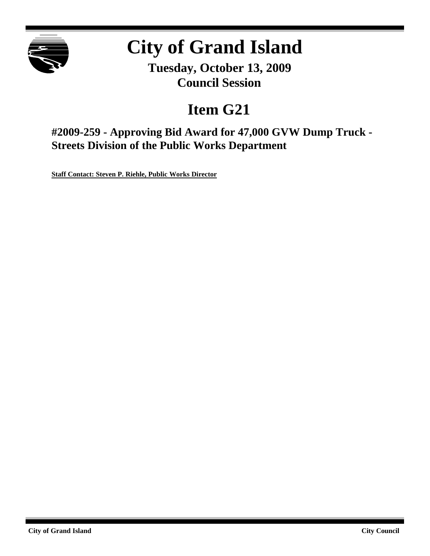

# **City of Grand Island**

**Tuesday, October 13, 2009 Council Session**

## **Item G21**

**#2009-259 - Approving Bid Award for 47,000 GVW Dump Truck - Streets Division of the Public Works Department**

**Staff Contact: Steven P. Riehle, Public Works Director**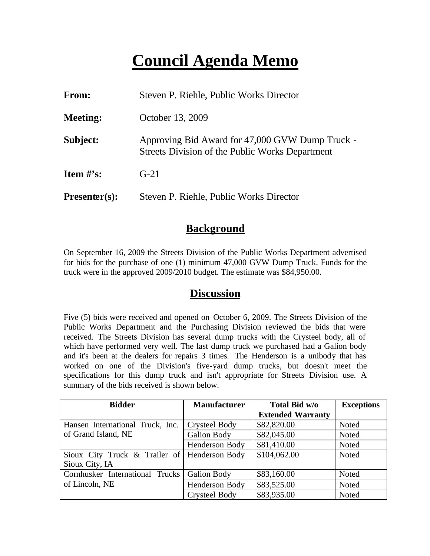## **Council Agenda Memo**

| From:                | Steven P. Riehle, Public Works Director                                                            |
|----------------------|----------------------------------------------------------------------------------------------------|
| <b>Meeting:</b>      | October 13, 2009                                                                                   |
| Subject:             | Approving Bid Award for 47,000 GVW Dump Truck -<br>Streets Division of the Public Works Department |
| Item $#$ 's:         | $G-21$                                                                                             |
| <b>Presenter(s):</b> | Steven P. Riehle, Public Works Director                                                            |

#### **Background**

On September 16, 2009 the Streets Division of the Public Works Department advertised for bids for the purchase of one (1) minimum 47,000 GVW Dump Truck. Funds for the truck were in the approved 2009/2010 budget. The estimate was \$84,950.00.

#### **Discussion**

Five (5) bids were received and opened on October 6, 2009. The Streets Division of the Public Works Department and the Purchasing Division reviewed the bids that were received. The Streets Division has several dump trucks with the Crysteel body, all of which have performed very well. The last dump truck we purchased had a Galion body and it's been at the dealers for repairs 3 times. The Henderson is a unibody that has worked on one of the Division's five-yard dump trucks, but doesn't meet the specifications for this dump truck and isn't appropriate for Streets Division use. A summary of the bids received is shown below.

| <b>Bidder</b>                                | <b>Manufacturer</b>  | Total Bid w/o            | <b>Exceptions</b> |
|----------------------------------------------|----------------------|--------------------------|-------------------|
|                                              |                      | <b>Extended Warranty</b> |                   |
| Hansen International Truck, Inc.             | <b>Crysteel Body</b> | \$82,820.00              | Noted             |
| of Grand Island, NE                          | <b>Galion Body</b>   | \$82,045.00              | Noted             |
|                                              | Henderson Body       | \$81,410.00              | Noted             |
| Sioux City Truck & Trailer of Henderson Body |                      | \$104,062.00             | Noted             |
| Sioux City, IA                               |                      |                          |                   |
| Cornhusker International Trucks              | <b>Galion Body</b>   | \$83,160.00              | Noted             |
| of Lincoln, NE                               | Henderson Body       | \$83,525.00              | Noted             |
|                                              | <b>Crysteel Body</b> | \$83,935.00              | Noted             |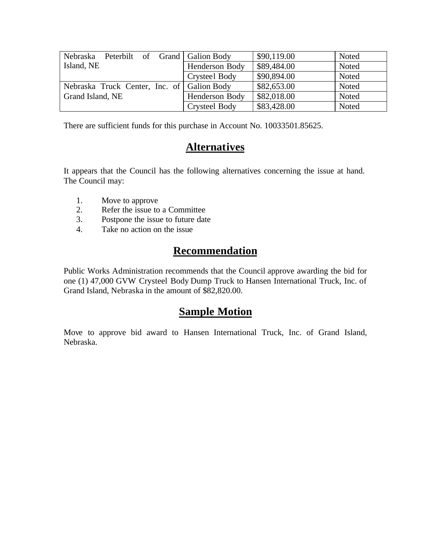| Peterbilt of Grand   Galion Body<br>Nebraska |                | \$90,119.00 | Noted |
|----------------------------------------------|----------------|-------------|-------|
| Island, NE                                   | Henderson Body | \$89,484.00 | Noted |
|                                              | Crysteel Body  | \$90,894.00 | Noted |
| Nebraska Truck Center, Inc. of Galion Body   |                | \$82,653.00 | Noted |
| Grand Island, NE                             | Henderson Body | \$82,018.00 | Noted |
|                                              | Crysteel Body  | \$83,428.00 | Noted |

There are sufficient funds for this purchase in Account No. 10033501.85625.

### **Alternatives**

It appears that the Council has the following alternatives concerning the issue at hand. The Council may:

- 1. Move to approve
- 2. Refer the issue to a Committee
- 3. Postpone the issue to future date
- 4. Take no action on the issue

## **Recommendation**

Public Works Administration recommends that the Council approve awarding the bid for one (1) 47,000 GVW Crysteel Body Dump Truck to Hansen International Truck, Inc. of Grand Island, Nebraska in the amount of \$82,820.00.

### **Sample Motion**

Move to approve bid award to Hansen International Truck, Inc. of Grand Island, Nebraska.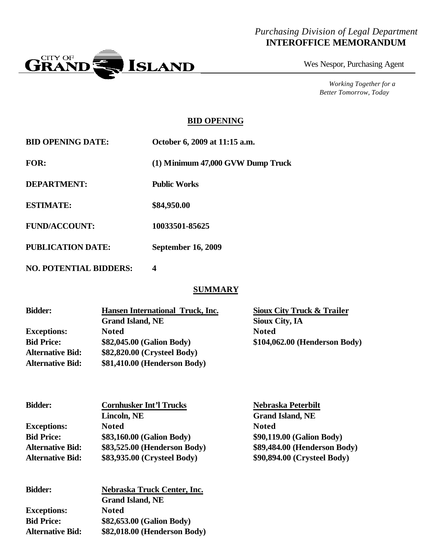#### *Purchasing Division of Legal Department* **INTEROFFICE MEMORANDUM**



Wes Nespor, Purchasing Agent

*Working Together for a Better Tomorrow, Today*

#### **BID OPENING**

| <b>BID OPENING DATE:</b>      | October 6, 2009 at 11:15 a.m.     |
|-------------------------------|-----------------------------------|
| FOR:                          | (1) Minimum 47,000 GVW Dump Truck |
| <b>DEPARTMENT:</b>            | <b>Public Works</b>               |
| <b>ESTIMATE:</b>              | \$84,950.00                       |
| <b>FUND/ACCOUNT:</b>          | 10033501-85625                    |
| <b>PUBLICATION DATE:</b>      | <b>September 16, 2009</b>         |
| <b>NO. POTENTIAL BIDDERS:</b> | 4                                 |

#### **SUMMARY**

| <b>Bidder:</b>          | Hansen International Truck, Inc. | Sioux City Truck & Trailer    |
|-------------------------|----------------------------------|-------------------------------|
|                         | <b>Grand Island, NE</b>          | Sioux City, IA                |
| <b>Exceptions:</b>      | <b>Noted</b>                     | <b>Noted</b>                  |
| <b>Bid Price:</b>       | \$82,045.00 (Galion Body)        | \$104,062.00 (Henderson Body) |
| <b>Alternative Bid:</b> | \$82,820.00 (Crysteel Body)      |                               |
| <b>Alternative Bid:</b> | \$81,410.00 (Henderson Body)     |                               |

| <b>Bidder:</b>          | <b>Cornhusker Int'l Trucks</b> | Nebraska Peterbilt           |
|-------------------------|--------------------------------|------------------------------|
|                         | Lincoln, NE                    | <b>Grand Island, NE</b>      |
| <b>Exceptions:</b>      | <b>Noted</b>                   | <b>Noted</b>                 |
| <b>Bid Price:</b>       | \$83,160.00 (Galion Body)      | \$90,119.00 (Galion Body)    |
| <b>Alternative Bid:</b> | \$83,525.00 (Henderson Body)   | \$89,484.00 (Henderson Body) |
| <b>Alternative Bid:</b> | \$83,935.00 (Crysteel Body)    | \$90,894.00 (Crysteel Body)  |
|                         |                                |                              |

| <b>Bidder:</b>          | Nebraska Truck Center, Inc.  |  |
|-------------------------|------------------------------|--|
|                         | <b>Grand Island, NE</b>      |  |
| <b>Exceptions:</b>      | <b>Noted</b>                 |  |
| <b>Bid Price:</b>       | \$82,653.00 (Galion Body)    |  |
| <b>Alternative Bid:</b> | \$82,018.00 (Henderson Body) |  |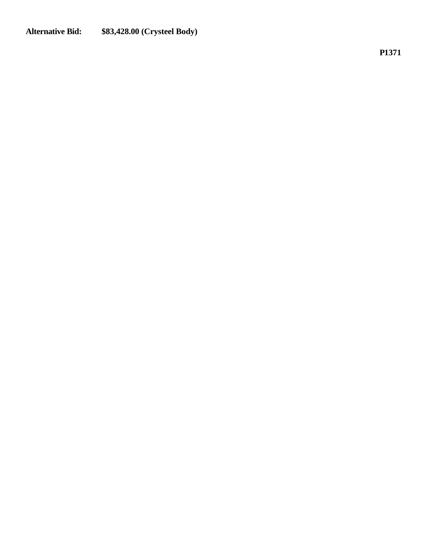#### **Alternative Bid: \$83,428.00 (Crysteel Body)**

**P1371**